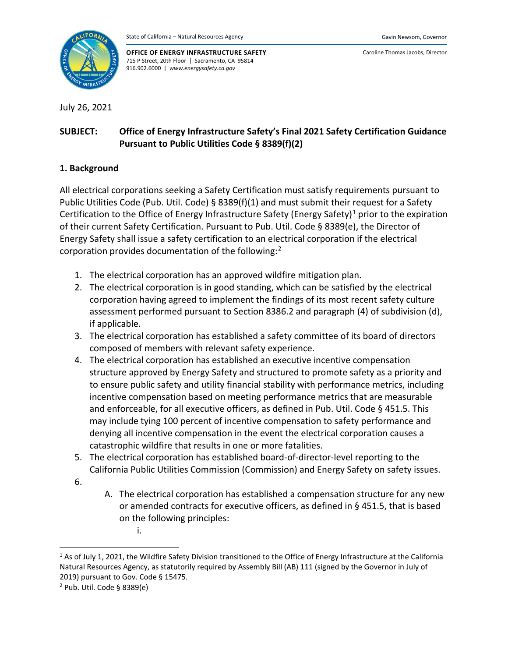

**OFFICE OF ENERGY INFRASTRUCTURE SAFETY** 715 P Street, 20th Floor | Sacramento, CA 95814 916.902.6000 | *www.energysafety.ca.gov*

Caroline Thomas Jacobs, Director

July 26, 2021

# **SUBJECT: Office of Energy Infrastructure Safety's Final 2021 Safety Certification Guidance Pursuant to Public Utilities Code § 8389(f)(2)**

## **1. Background**

All electrical corporations seeking a Safety Certification must satisfy requirements pursuant to Public Utilities Code (Pub. Util. Code) § 8389(f)(1) and must submit their request for a Safety Certification to the Office of Energy Infrastructure Safety (Energy Safety)<sup>[1](#page-0-0)</sup> prior to the expiration of their current Safety Certification. Pursuant to Pub. Util. Code § 8389(e), the Director of Energy Safety shall issue a safety certification to an electrical corporation if the electrical corporation provides documentation of the following:<sup>[2](#page-0-1)</sup>

- 1. The electrical corporation has an approved wildfire mitigation plan.
- 2. The electrical corporation is in good standing, which can be satisfied by the electrical corporation having agreed to implement the findings of its most recent safety culture assessment performed pursuant to Section 8386.2 and paragraph (4) of subdivision (d), if applicable.
- 3. The electrical corporation has established a safety committee of its board of directors composed of members with relevant safety experience.
- 4. The electrical corporation has established an executive incentive compensation structure approved by Energy Safety and structured to promote safety as a priority and to ensure public safety and utility financial stability with performance metrics, including incentive compensation based on meeting performance metrics that are measurable and enforceable, for all executive officers, as defined in Pub. Util. Code § 451.5. This may include tying 100 percent of incentive compensation to safety performance and denying all incentive compensation in the event the electrical corporation causes a catastrophic wildfire that results in one or more fatalities.
- 5. The electrical corporation has established board-of-director-level reporting to the California Public Utilities Commission (Commission) and Energy Safety on safety issues.
- 6.
- A. The electrical corporation has established a compensation structure for any new or amended contracts for executive officers, as defined in § 451.5, that is based on the following principles:

i.

<span id="page-0-0"></span><sup>&</sup>lt;sup>1</sup> As of July 1, 2021, the Wildfire Safety Division transitioned to the Office of Energy Infrastructure at the California Natural Resources Agency, as statutorily required by Assembly Bill (AB) 111 (signed by the Governor in July of 2019) pursuant to Gov. Code § 15475.

<span id="page-0-1"></span><sup>2</sup> Pub. Util. Code § 8389(e)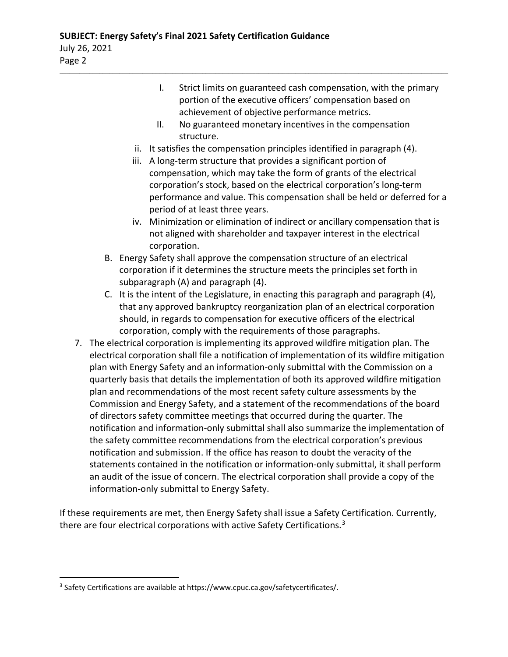- I. Strict limits on guaranteed cash compensation, with the primary portion of the executive officers' compensation based on achievement of objective performance metrics.
- II. No guaranteed monetary incentives in the compensation structure.
- ii. It satisfies the compensation principles identified in paragraph (4).

 $\mathcal{L}_\mathcal{L} = \mathcal{L}_\mathcal{L} = \mathcal{L}_\mathcal{L} = \mathcal{L}_\mathcal{L} = \mathcal{L}_\mathcal{L} = \mathcal{L}_\mathcal{L} = \mathcal{L}_\mathcal{L} = \mathcal{L}_\mathcal{L} = \mathcal{L}_\mathcal{L} = \mathcal{L}_\mathcal{L} = \mathcal{L}_\mathcal{L} = \mathcal{L}_\mathcal{L} = \mathcal{L}_\mathcal{L} = \mathcal{L}_\mathcal{L} = \mathcal{L}_\mathcal{L} = \mathcal{L}_\mathcal{L} = \mathcal{L}_\mathcal{L}$ 

- iii. A long-term structure that provides a significant portion of compensation, which may take the form of grants of the electrical corporation's stock, based on the electrical corporation's long-term performance and value. This compensation shall be held or deferred for a period of at least three years.
- iv. Minimization or elimination of indirect or ancillary compensation that is not aligned with shareholder and taxpayer interest in the electrical corporation.
- B. Energy Safety shall approve the compensation structure of an electrical corporation if it determines the structure meets the principles set forth in subparagraph (A) and paragraph (4).
- C. It is the intent of the Legislature, in enacting this paragraph and paragraph (4), that any approved bankruptcy reorganization plan of an electrical corporation should, in regards to compensation for executive officers of the electrical corporation, comply with the requirements of those paragraphs.
- 7. The electrical corporation is implementing its approved wildfire mitigation plan. The electrical corporation shall file a notification of implementation of its wildfire mitigation plan with Energy Safety and an information-only submittal with the Commission on a quarterly basis that details the implementation of both its approved wildfire mitigation plan and recommendations of the most recent safety culture assessments by the Commission and Energy Safety, and a statement of the recommendations of the board of directors safety committee meetings that occurred during the quarter. The notification and information-only submittal shall also summarize the implementation of the safety committee recommendations from the electrical corporation's previous notification and submission. If the office has reason to doubt the veracity of the statements contained in the notification or information-only submittal, it shall perform an audit of the issue of concern. The electrical corporation shall provide a copy of the information-only submittal to Energy Safety.

If these requirements are met, then Energy Safety shall issue a Safety Certification. Currently, there are four electrical corporations with active Safety Certifications.<sup>[3](#page-1-0)</sup>

<span id="page-1-0"></span><sup>&</sup>lt;sup>3</sup> Safety Certifications are available at https://www.cpuc.ca.gov/safetycertificates/.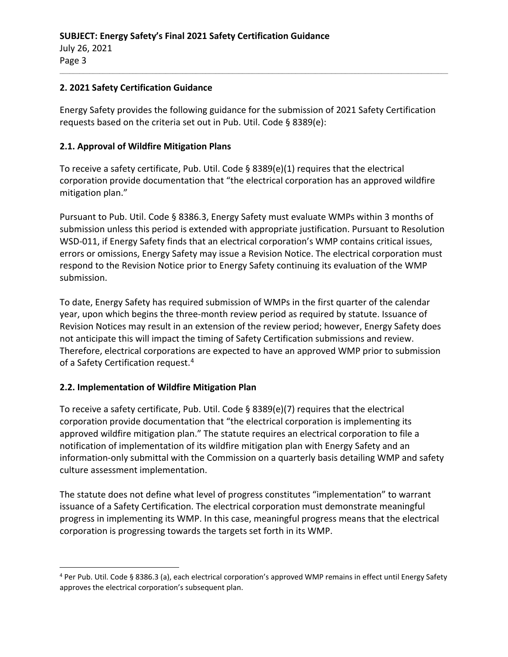#### **2. 2021 Safety Certification Guidance**

Energy Safety provides the following guidance for the submission of 2021 Safety Certification requests based on the criteria set out in Pub. Util. Code § 8389(e):

 $\mathcal{L}_\mathcal{L} = \mathcal{L}_\mathcal{L} = \mathcal{L}_\mathcal{L} = \mathcal{L}_\mathcal{L} = \mathcal{L}_\mathcal{L} = \mathcal{L}_\mathcal{L} = \mathcal{L}_\mathcal{L} = \mathcal{L}_\mathcal{L} = \mathcal{L}_\mathcal{L} = \mathcal{L}_\mathcal{L} = \mathcal{L}_\mathcal{L} = \mathcal{L}_\mathcal{L} = \mathcal{L}_\mathcal{L} = \mathcal{L}_\mathcal{L} = \mathcal{L}_\mathcal{L} = \mathcal{L}_\mathcal{L} = \mathcal{L}_\mathcal{L}$ 

#### **2.1. Approval of Wildfire Mitigation Plans**

To receive a safety certificate, Pub. Util. Code § 8389(e)(1) requires that the electrical corporation provide documentation that "the electrical corporation has an approved wildfire mitigation plan."

Pursuant to Pub. Util. Code § 8386.3, Energy Safety must evaluate WMPs within 3 months of submission unless this period is extended with appropriate justification. Pursuant to Resolution WSD-011, if Energy Safety finds that an electrical corporation's WMP contains critical issues, errors or omissions, Energy Safety may issue a Revision Notice. The electrical corporation must respond to the Revision Notice prior to Energy Safety continuing its evaluation of the WMP submission.

To date, Energy Safety has required submission of WMPs in the first quarter of the calendar year, upon which begins the three-month review period as required by statute. Issuance of Revision Notices may result in an extension of the review period; however, Energy Safety does not anticipate this will impact the timing of Safety Certification submissions and review. Therefore, electrical corporations are expected to have an approved WMP prior to submission of a Safety Certification request. [4](#page-2-0)

#### **2.2. Implementation of Wildfire Mitigation Plan**

To receive a safety certificate, Pub. Util. Code  $\S$  8389(e)(7) requires that the electrical corporation provide documentation that "the electrical corporation is implementing its approved wildfire mitigation plan." The statute requires an electrical corporation to file a notification of implementation of its wildfire mitigation plan with Energy Safety and an information-only submittal with the Commission on a quarterly basis detailing WMP and safety culture assessment implementation.

The statute does not define what level of progress constitutes "implementation" to warrant issuance of a Safety Certification. The electrical corporation must demonstrate meaningful progress in implementing its WMP. In this case, meaningful progress means that the electrical corporation is progressing towards the targets set forth in its WMP.

<span id="page-2-0"></span><sup>4</sup> Per Pub. Util. Code § 8386.3 (a), each electrical corporation's approved WMP remains in effect until Energy Safety approves the electrical corporation's subsequent plan.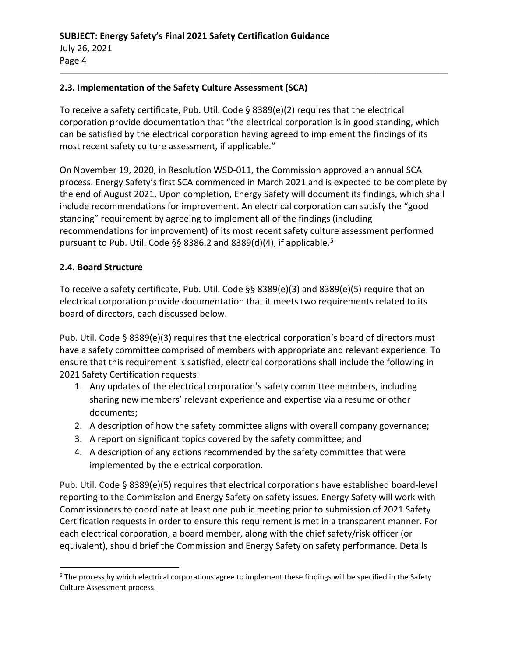### **2.3. Implementation of the Safety Culture Assessment (SCA)**

To receive a safety certificate, Pub. Util. Code § 8389(e)(2) requires that the electrical corporation provide documentation that "the electrical corporation is in good standing, which can be satisfied by the electrical corporation having agreed to implement the findings of its most recent safety culture assessment, if applicable."

 $\mathcal{L}_\mathcal{L} = \mathcal{L}_\mathcal{L} = \mathcal{L}_\mathcal{L} = \mathcal{L}_\mathcal{L} = \mathcal{L}_\mathcal{L} = \mathcal{L}_\mathcal{L} = \mathcal{L}_\mathcal{L} = \mathcal{L}_\mathcal{L} = \mathcal{L}_\mathcal{L} = \mathcal{L}_\mathcal{L} = \mathcal{L}_\mathcal{L} = \mathcal{L}_\mathcal{L} = \mathcal{L}_\mathcal{L} = \mathcal{L}_\mathcal{L} = \mathcal{L}_\mathcal{L} = \mathcal{L}_\mathcal{L} = \mathcal{L}_\mathcal{L}$ 

On November 19, 2020, in Resolution WSD-011, the Commission approved an annual SCA process. Energy Safety's first SCA commenced in March 2021 and is expected to be complete by the end of August 2021. Upon completion, Energy Safety will document its findings, which shall include recommendations for improvement. An electrical corporation can satisfy the "good standing" requirement by agreeing to implement all of the findings (including recommendations for improvement) of its most recent safety culture assessment performed pursuant to Pub. Util. Code §§ 8386.2 and 8389(d)(4), if applicable.<sup>[5](#page-3-0)</sup>

#### **2.4. Board Structure**

To receive a safety certificate, Pub. Util. Code §§ 8389(e)(3) and 8389(e)(5) require that an electrical corporation provide documentation that it meets two requirements related to its board of directors, each discussed below.

Pub. Util. Code § 8389(e)(3) requires that the electrical corporation's board of directors must have a safety committee comprised of members with appropriate and relevant experience. To ensure that this requirement is satisfied, electrical corporations shall include the following in 2021 Safety Certification requests:

- 1. Any updates of the electrical corporation's safety committee members, including sharing new members' relevant experience and expertise via a resume or other documents;
- 2. A description of how the safety committee aligns with overall company governance;
- 3. A report on significant topics covered by the safety committee; and
- 4. A description of any actions recommended by the safety committee that were implemented by the electrical corporation.

Pub. Util. Code § 8389(e)(5) requires that electrical corporations have established board-level reporting to the Commission and Energy Safety on safety issues. Energy Safety will work with Commissioners to coordinate at least one public meeting prior to submission of 2021 Safety Certification requests in order to ensure this requirement is met in a transparent manner. For each electrical corporation, a board member, along with the chief safety/risk officer (or equivalent), should brief the Commission and Energy Safety on safety performance. Details

<span id="page-3-0"></span><sup>&</sup>lt;sup>5</sup> The process by which electrical corporations agree to implement these findings will be specified in the Safety Culture Assessment process.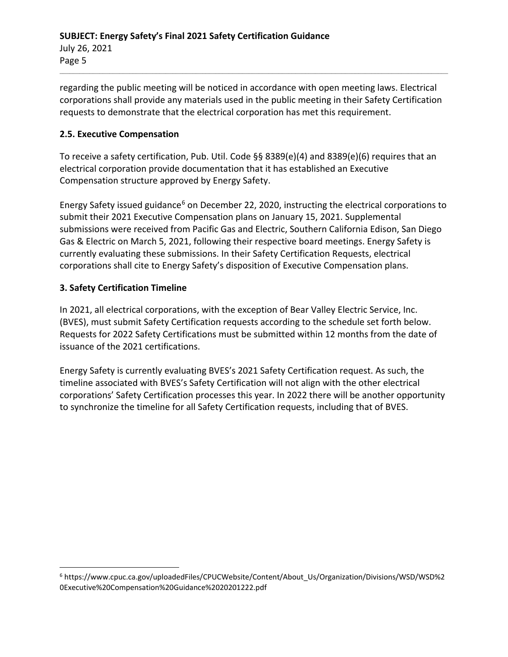regarding the public meeting will be noticed in accordance with open meeting laws. Electrical corporations shall provide any materials used in the public meeting in their Safety Certification requests to demonstrate that the electrical corporation has met this requirement.

 $\mathcal{L}_\mathcal{L} = \mathcal{L}_\mathcal{L} = \mathcal{L}_\mathcal{L} = \mathcal{L}_\mathcal{L} = \mathcal{L}_\mathcal{L} = \mathcal{L}_\mathcal{L} = \mathcal{L}_\mathcal{L} = \mathcal{L}_\mathcal{L} = \mathcal{L}_\mathcal{L} = \mathcal{L}_\mathcal{L} = \mathcal{L}_\mathcal{L} = \mathcal{L}_\mathcal{L} = \mathcal{L}_\mathcal{L} = \mathcal{L}_\mathcal{L} = \mathcal{L}_\mathcal{L} = \mathcal{L}_\mathcal{L} = \mathcal{L}_\mathcal{L}$ 

## **2.5. Executive Compensation**

To receive a safety certification, Pub. Util. Code §§ 8389(e)(4) and 8389(e)(6) requires that an electrical corporation provide documentation that it has established an Executive Compensation structure approved by Energy Safety.

Energy Safety issued guidance<sup>[6](#page-4-0)</sup> on December 22, 2020, instructing the electrical corporations to submit their 2021 Executive Compensation plans on January 15, 2021. Supplemental submissions were received from Pacific Gas and Electric, Southern California Edison, San Diego Gas & Electric on March 5, 2021, following their respective board meetings. Energy Safety is currently evaluating these submissions. In their Safety Certification Requests, electrical corporations shall cite to Energy Safety's disposition of Executive Compensation plans.

# **3. Safety Certification Timeline**

In 2021, all electrical corporations, with the exception of Bear Valley Electric Service, Inc. (BVES), must submit Safety Certification requests according to the schedule set forth below. Requests for 2022 Safety Certifications must be submitted within 12 months from the date of issuance of the 2021 certifications.

Energy Safety is currently evaluating BVES's 2021 Safety Certification request. As such, the timeline associated with BVES's Safety Certification will not align with the other electrical corporations' Safety Certification processes this year. In 2022 there will be another opportunity to synchronize the timeline for all Safety Certification requests, including that of BVES.

<span id="page-4-0"></span><sup>6</sup> https://www.cpuc.ca.gov/uploadedFiles/CPUCWebsite/Content/About\_Us/Organization/Divisions/WSD/WSD%2 0Executive%20Compensation%20Guidance%2020201222.pdf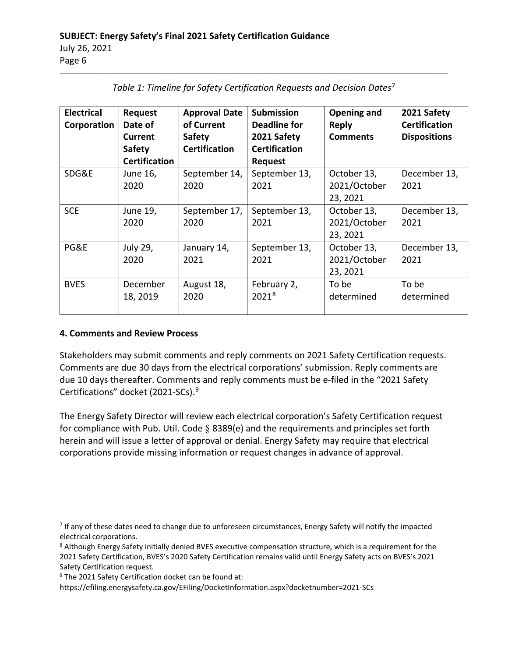## **SUBJECT: Energy Safety's Final 2021 Safety Certification Guidance** July 26, 2021 Page 6

| <b>Electrical</b><br>Corporation | Request<br>Date of<br>Current<br><b>Safety</b><br><b>Certification</b> | <b>Approval Date</b><br>of Current<br><b>Safety</b><br><b>Certification</b> | <b>Submission</b><br>Deadline for<br>2021 Safety<br><b>Certification</b><br><b>Request</b> | Opening and<br><b>Reply</b><br><b>Comments</b> | 2021 Safety<br><b>Certification</b><br><b>Dispositions</b> |
|----------------------------------|------------------------------------------------------------------------|-----------------------------------------------------------------------------|--------------------------------------------------------------------------------------------|------------------------------------------------|------------------------------------------------------------|
| SDG&E                            | June 16,<br>2020                                                       | September 14,<br>2020                                                       | September 13,<br>2021                                                                      | October 13,<br>2021/October<br>23, 2021        | December 13,<br>2021                                       |
| <b>SCE</b>                       | June 19,<br>2020                                                       | September 17,<br>2020                                                       | September 13,<br>2021                                                                      | October 13,<br>2021/October<br>23, 2021        | December 13,<br>2021                                       |
| PG&E                             | July 29,<br>2020                                                       | January 14,<br>2021                                                         | September 13,<br>2021                                                                      | October 13,<br>2021/October<br>23, 2021        | December 13,<br>2021                                       |
| <b>BVES</b>                      | December<br>18, 2019                                                   | August 18,<br>2020                                                          | February 2,<br>20218                                                                       | To be<br>determined                            | To be<br>determined                                        |

*Table 1: Timeline for Safety Certification Requests and Decision Dates*[7](#page-5-0)

 $\mathcal{L}_\mathcal{L} = \mathcal{L}_\mathcal{L} = \mathcal{L}_\mathcal{L} = \mathcal{L}_\mathcal{L} = \mathcal{L}_\mathcal{L} = \mathcal{L}_\mathcal{L} = \mathcal{L}_\mathcal{L} = \mathcal{L}_\mathcal{L} = \mathcal{L}_\mathcal{L} = \mathcal{L}_\mathcal{L} = \mathcal{L}_\mathcal{L} = \mathcal{L}_\mathcal{L} = \mathcal{L}_\mathcal{L} = \mathcal{L}_\mathcal{L} = \mathcal{L}_\mathcal{L} = \mathcal{L}_\mathcal{L} = \mathcal{L}_\mathcal{L}$ 

# **4. Comments and Review Process**

Stakeholders may submit comments and reply comments on 2021 Safety Certification requests. Comments are due 30 days from the electrical corporations' submission. Reply comments are due 10 days thereafter. Comments and reply comments must be e-filed in the "2021 Safety Certifications" docket (2021-SCs).[9](#page-5-2)

The Energy Safety Director will review each electrical corporation's Safety Certification request for compliance with Pub. Util. Code  $\S$  8389(e) and the requirements and principles set forth herein and will issue a letter of approval or denial. Energy Safety may require that electrical corporations provide missing information or request changes in advance of approval.

<span id="page-5-0"></span><sup>&</sup>lt;sup>7</sup> If any of these dates need to change due to unforeseen circumstances, Energy Safety will notify the impacted electrical corporations.

<span id="page-5-1"></span><sup>&</sup>lt;sup>8</sup> Although Energy Safety initially denied BVES executive compensation structure, which is a requirement for the 2021 Safety Certification, BVES's 2020 Safety Certification remains valid until Energy Safety acts on BVES's 2021 Safety Certification request.

<span id="page-5-2"></span><sup>&</sup>lt;sup>9</sup> The 2021 Safety Certification docket can be found at:

https://efiling.energysafety.ca.gov/EFiling/DocketInformation.aspx?docketnumber=2021-SCs